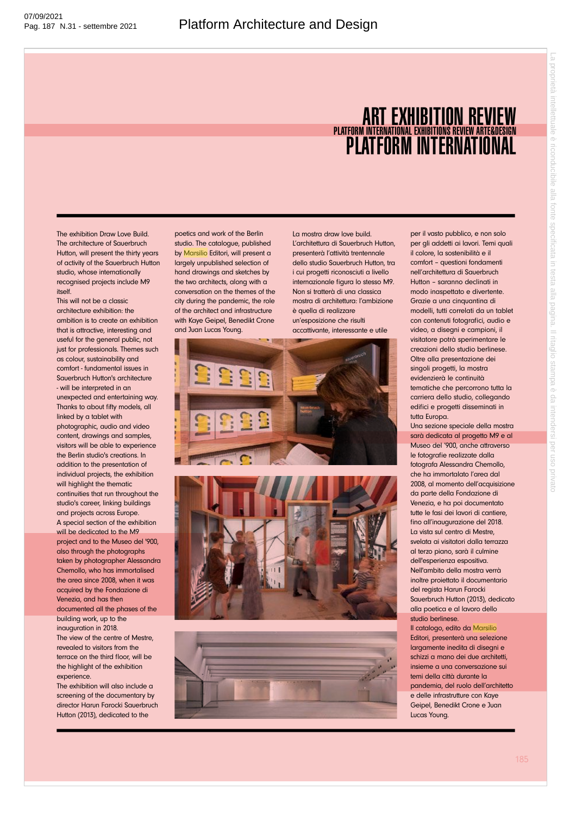## ART EXHIBITION REVIEW PLATFORM INTERNATIONAL PLATFORM INTERNATIONAL EXHIBITIONS REVIEW ARTE&DESIGN

The exhibition Draw Love Build. The architecture of Sauerbruch Hutton, will present the thirty years of activity of the Sauerbruch Hutton studio, whose internationally recognised projects include M9 itself.

This will not be a classic architecture exhibition: the ambition is to create an exhibition that is attractive, interesting and useful for the general public, not just for professionals. Themes such as colour, sustainability and comfort - fundamental issues in Sauerbruch Hutton's architecture - will be interpreted in an unexpected and entertaining way. Thanks to about fifty models, all linked by a tablet with photographic, audio and video content, drawings and samples, visitors will be able to experience the Berlin studio's creations. In addition to the presentation of individual projects, the exhibition will highlight the thematic continuities that run throughout the studio's career, linking buildings and projects across Europe. A special section of the exhibition will be dedicated to the M9 project and to the Museo del '900, also through the photographs taken by photographer Alessandra Chemollo, who has immortalised the area since 2008, when it was acquired by the Fondazione di Venezia, and has then documented all the phases of the building work, up to the

inauguration in 2018. The view of the centre of Mestre, revealed to visitors from the terrace on the third floor, will be the highlight of the exhibition experience.

The exhibition will also include a screening of the documentary by director Harun Farocki Sauerbruch Hutton (2013), dedicated to the

poetics and work of the Berlin studio. The catalogue, published by Marsilio Editori, will present a largely unpublished selection of hand drawings and sketches by the two architects, along with a conversation on the themes of the city during the pandemic, the role of the architect and infrastructure with Kaye Geipel, Benedikt Crone and Juan Lucas Young.

La mostra draw love build. L'architettura di Sauerbruch Hutton, presenterà l'attività trentennale dello studio Sauerbruch Hutton, tra i cui progetti riconosciuti a livello internazionale figura lo stesso M9. Non si tratterà di una classica mostra di architettura: l'ambizione è quella di realizzare un'esposizione che risulti accattivante, interessante e utile







per il vasto pubblico, e non solo per gli addetti ai lavori. Temi quali il colore, la sostenibilità e il comfort – questioni fondamenti nell'architettura di Sauerbruch Hutton – saranno declinati in modo inaspettato e divertente. Grazie a una cinquantina di modelli, tutti correlati da un tablet con contenuti fotografici, audio e video, a disegni e campioni, il visitatore potrà sperimentare le creazioni dello studio berlinese. Oltre alla presentazione dei singoli progetti, la mostra evidenzierà le continuità tematiche che percorrono tutta la carriera dello studio, collegando edifici e progetti disseminati in tutta Europa.

Una sezione speciale della mostra sarà dedicata al progetto M9 e al Museo del '900, anche attraverso le fotografie realizzate dalla fotografa Alessandra Chemollo, che ha immortalato l'area dal 2008, al momento dell'acquisizione da parte della Fondazione di Venezia, e ha poi documentato tutte le fasi dei lavori di cantiere, fino all'inaugurazione del 2018. La vista sul centro di Mestre, svelata ai visitatori dalla terrazza al terzo piano, sarà il culmine dell'esperienza espositiva. Nell'ambito della mostra verrà inoltre proiettato il documentario del regista Harun Farocki Sauerbruch Hutton (2013), dedicato alla poetica e al lavoro dello studio berlinese. Il catalogo, edito da Marsilio

Editori, presenterà una selezione largamente inedita di disegni e schizzi a mano dei due architetti, insieme a una conversazione sui temi della città durante la pandemia, del ruolo dell'architetto e delle infrastrutture con Kaye Geipel, Benedikt Crone e Juan Lucas Young.